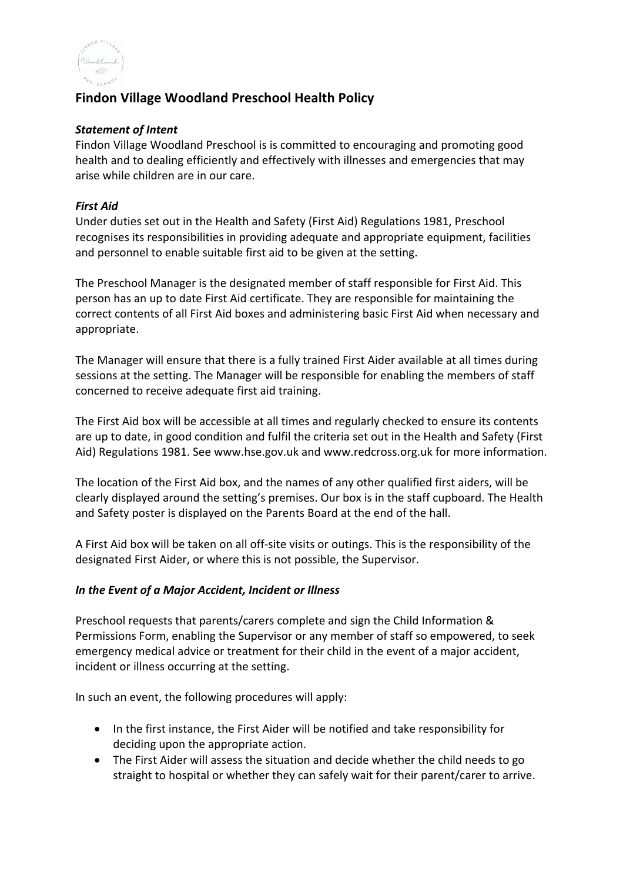

# **Findon Village Woodland Preschool Health Policy**

### *Statement of Intent*

Findon Village Woodland Preschool is is committed to encouraging and promoting good health and to dealing efficiently and effectively with illnesses and emergencies that may arise while children are in our care.

### *First Aid*

Under duties set out in the Health and Safety (First Aid) Regulations 1981, Preschool recognises its responsibilities in providing adequate and appropriate equipment, facilities and personnel to enable suitable first aid to be given at the setting.

The Preschool Manager is the designated member of staff responsible for First Aid. This person has an up to date First Aid certificate. They are responsible for maintaining the correct contents of all First Aid boxes and administering basic First Aid when necessary and appropriate.

The Manager will ensure that there is a fully trained First Aider available at all times during sessions at the setting. The Manager will be responsible for enabling the members of staff concerned to receive adequate first aid training.

The First Aid box will be accessible at all times and regularly checked to ensure its contents are up to date, in good condition and fulfil the criteria set out in the Health and Safety (First Aid) Regulations 1981. See www.hse.gov.uk and www.redcross.org.uk for more information.

The location of the First Aid box, and the names of any other qualified first aiders, will be clearly displayed around the setting's premises. Our box is in the staff cupboard. The Health and Safety poster is displayed on the Parents Board at the end of the hall.

A First Aid box will be taken on all off-site visits or outings. This is the responsibility of the designated First Aider, or where this is not possible, the Supervisor.

### *In the Event of a Major Accident, Incident or Illness*

Preschool requests that parents/carers complete and sign the Child Information & Permissions Form, enabling the Supervisor or any member of staff so empowered, to seek emergency medical advice or treatment for their child in the event of a major accident, incident or illness occurring at the setting.

In such an event, the following procedures will apply:

- In the first instance, the First Aider will be notified and take responsibility for deciding upon the appropriate action.
- The First Aider will assess the situation and decide whether the child needs to go straight to hospital or whether they can safely wait for their parent/carer to arrive.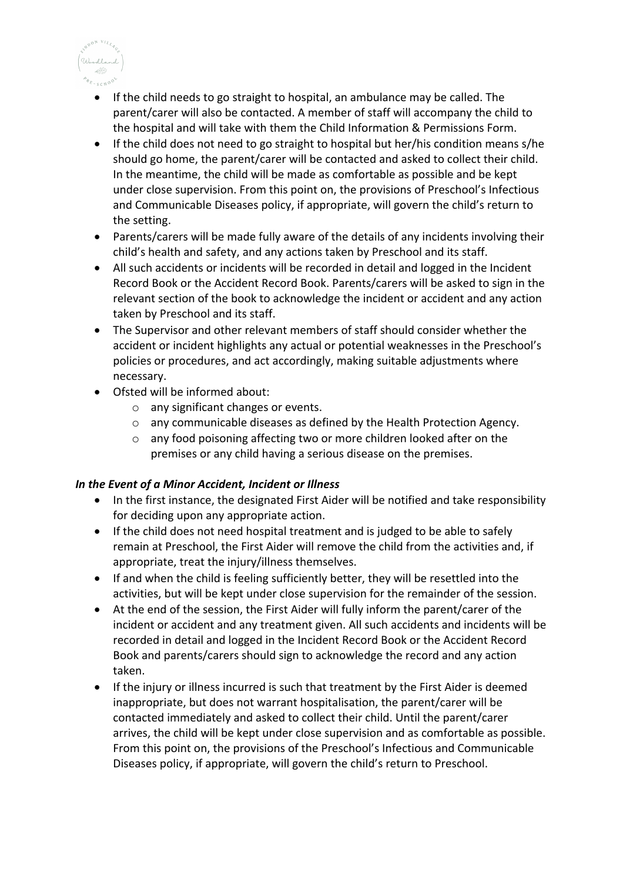

- If the child needs to go straight to hospital, an ambulance may be called. The parent/carer will also be contacted. A member of staff will accompany the child to the hospital and will take with them the Child Information & Permissions Form.
- If the child does not need to go straight to hospital but her/his condition means s/he should go home, the parent/carer will be contacted and asked to collect their child. In the meantime, the child will be made as comfortable as possible and be kept under close supervision. From this point on, the provisions of Preschool's Infectious and Communicable Diseases policy, if appropriate, will govern the child's return to the setting.
- Parents/carers will be made fully aware of the details of any incidents involving their child's health and safety, and any actions taken by Preschool and its staff.
- All such accidents or incidents will be recorded in detail and logged in the Incident Record Book or the Accident Record Book. Parents/carers will be asked to sign in the relevant section of the book to acknowledge the incident or accident and any action taken by Preschool and its staff.
- The Supervisor and other relevant members of staff should consider whether the accident or incident highlights any actual or potential weaknesses in the Preschool's policies or procedures, and act accordingly, making suitable adjustments where necessary.
- Ofsted will be informed about:
	- o any significant changes or events.
	- o any communicable diseases as defined by the Health Protection Agency.
	- o any food poisoning affecting two or more children looked after on the premises or any child having a serious disease on the premises.

## *In the Event of a Minor Accident, Incident or Illness*

- In the first instance, the designated First Aider will be notified and take responsibility for deciding upon any appropriate action.
- If the child does not need hospital treatment and is judged to be able to safely remain at Preschool, the First Aider will remove the child from the activities and, if appropriate, treat the injury/illness themselves.
- If and when the child is feeling sufficiently better, they will be resettled into the activities, but will be kept under close supervision for the remainder of the session.
- At the end of the session, the First Aider will fully inform the parent/carer of the incident or accident and any treatment given. All such accidents and incidents will be recorded in detail and logged in the Incident Record Book or the Accident Record Book and parents/carers should sign to acknowledge the record and any action taken.
- If the injury or illness incurred is such that treatment by the First Aider is deemed inappropriate, but does not warrant hospitalisation, the parent/carer will be contacted immediately and asked to collect their child. Until the parent/carer arrives, the child will be kept under close supervision and as comfortable as possible. From this point on, the provisions of the Preschool's Infectious and Communicable Diseases policy, if appropriate, will govern the child's return to Preschool.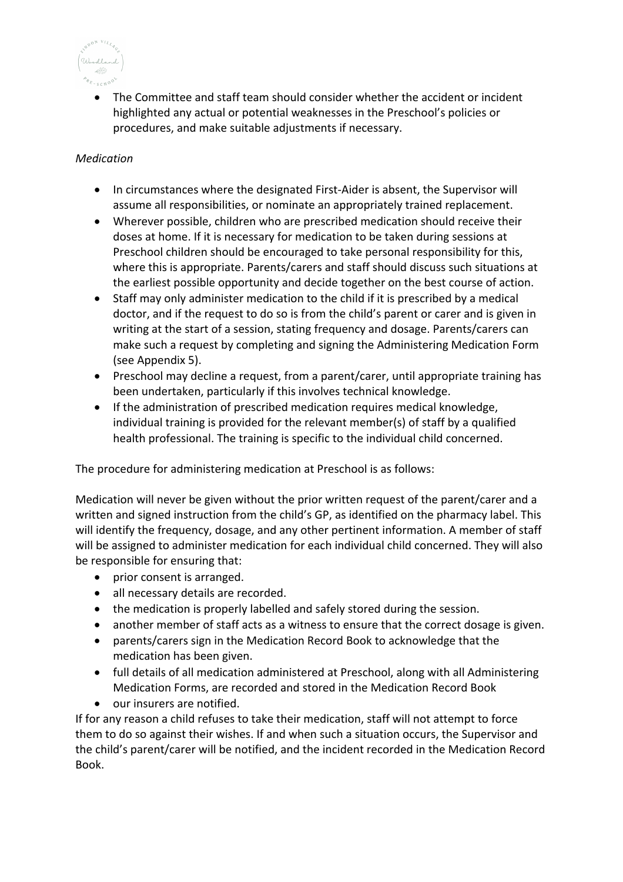

• The Committee and staff team should consider whether the accident or incident highlighted any actual or potential weaknesses in the Preschool's policies or procedures, and make suitable adjustments if necessary.

# *Medication*

- In circumstances where the designated First-Aider is absent, the Supervisor will assume all responsibilities, or nominate an appropriately trained replacement.
- Wherever possible, children who are prescribed medication should receive their doses at home. If it is necessary for medication to be taken during sessions at Preschool children should be encouraged to take personal responsibility for this, where this is appropriate. Parents/carers and staff should discuss such situations at the earliest possible opportunity and decide together on the best course of action.
- Staff may only administer medication to the child if it is prescribed by a medical doctor, and if the request to do so is from the child's parent or carer and is given in writing at the start of a session, stating frequency and dosage. Parents/carers can make such a request by completing and signing the Administering Medication Form (see Appendix 5).
- Preschool may decline a request, from a parent/carer, until appropriate training has been undertaken, particularly if this involves technical knowledge.
- If the administration of prescribed medication requires medical knowledge, individual training is provided for the relevant member(s) of staff by a qualified health professional. The training is specific to the individual child concerned.

The procedure for administering medication at Preschool is as follows:

Medication will never be given without the prior written request of the parent/carer and a written and signed instruction from the child's GP, as identified on the pharmacy label. This will identify the frequency, dosage, and any other pertinent information. A member of staff will be assigned to administer medication for each individual child concerned. They will also be responsible for ensuring that:

- prior consent is arranged.
- all necessary details are recorded.
- the medication is properly labelled and safely stored during the session.
- another member of staff acts as a witness to ensure that the correct dosage is given.
- parents/carers sign in the Medication Record Book to acknowledge that the medication has been given.
- full details of all medication administered at Preschool, along with all Administering Medication Forms, are recorded and stored in the Medication Record Book
- our insurers are notified.

If for any reason a child refuses to take their medication, staff will not attempt to force them to do so against their wishes. If and when such a situation occurs, the Supervisor and the child's parent/carer will be notified, and the incident recorded in the Medication Record Book.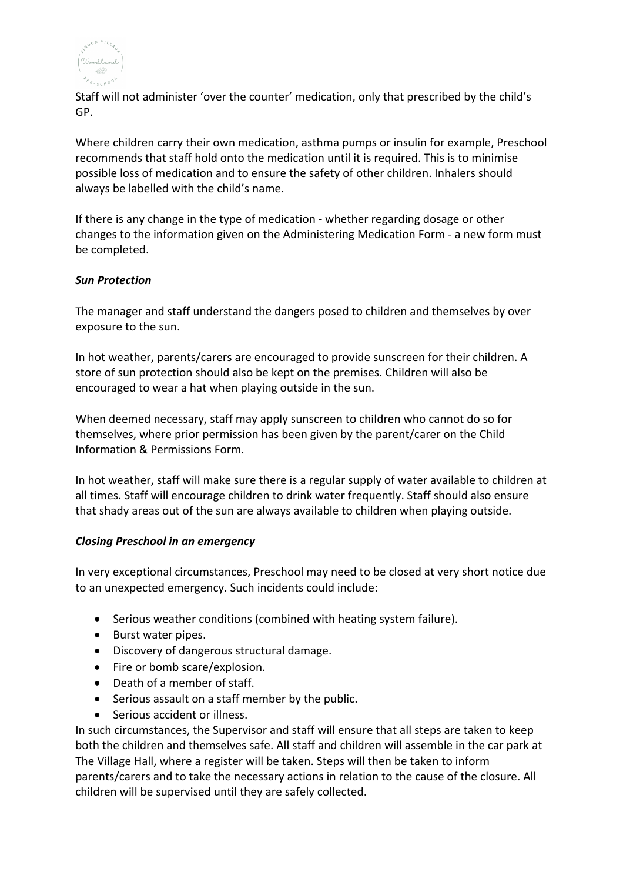

Staff will not administer 'over the counter' medication, only that prescribed by the child's GP.

Where children carry their own medication, asthma pumps or insulin for example, Preschool recommends that staff hold onto the medication until it is required. This is to minimise possible loss of medication and to ensure the safety of other children. Inhalers should always be labelled with the child's name.

If there is any change in the type of medication - whether regarding dosage or other changes to the information given on the Administering Medication Form - a new form must be completed.

### *Sun Protection*

The manager and staff understand the dangers posed to children and themselves by over exposure to the sun.

In hot weather, parents/carers are encouraged to provide sunscreen for their children. A store of sun protection should also be kept on the premises. Children will also be encouraged to wear a hat when playing outside in the sun.

When deemed necessary, staff may apply sunscreen to children who cannot do so for themselves, where prior permission has been given by the parent/carer on the Child Information & Permissions Form.

In hot weather, staff will make sure there is a regular supply of water available to children at all times. Staff will encourage children to drink water frequently. Staff should also ensure that shady areas out of the sun are always available to children when playing outside.

### *Closing Preschool in an emergency*

In very exceptional circumstances, Preschool may need to be closed at very short notice due to an unexpected emergency. Such incidents could include:

- Serious weather conditions (combined with heating system failure).
- Burst water pipes.
- Discovery of dangerous structural damage.
- Fire or bomb scare/explosion.
- Death of a member of staff.
- Serious assault on a staff member by the public.
- Serious accident or illness.

In such circumstances, the Supervisor and staff will ensure that all steps are taken to keep both the children and themselves safe. All staff and children will assemble in the car park at The Village Hall, where a register will be taken. Steps will then be taken to inform parents/carers and to take the necessary actions in relation to the cause of the closure. All children will be supervised until they are safely collected.